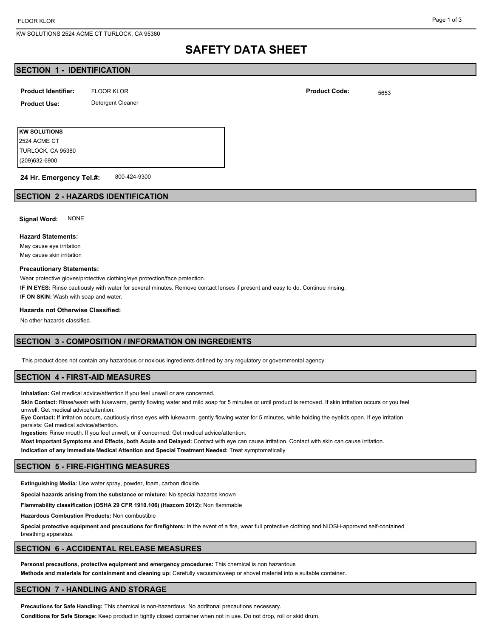KW SOLUTIONS 2524 ACME CT TURLOCK, CA 95380

# **SAFETY DATA SHEET**

## **SECTION 1 - IDENTIFICATION**

| <b>Product Identifier:</b> | <b>FLOOR KLOR</b> | <b>Product Code:</b> | 5653 |
|----------------------------|-------------------|----------------------|------|
| <b>Product Use:</b>        | Detergent Cleaner |                      |      |
|                            |                   |                      |      |

**KW SOLUTIONS** (209)632-6900 TURLOCK, CA 95380 2524 ACME CT

800-424-9300 **24 Hr. Emergency Tel.#:**

### **SECTION 2 - HAZARDS IDENTIFICATION**

**Signal Word:** NONE

#### **Hazard Statements:**

May cause eye irritation May cause skin irritation

#### **Precautionary Statements:**

Wear protective gloves/protective clothing/eye protection/face protection.

**IF IN EYES:** Rinse cautiously with water for several minutes. Remove contact lenses if present and easy to do. Continue rinsing.

**IF ON SKIN:** Wash with soap and water.

#### **Hazards not Otherwise Classified:**

No other hazards classified.

## **SECTION 3 - COMPOSITION / INFORMATION ON INGREDIENTS**

This product does not contain any hazardous or noxious ingredients defined by any regulatory or governmental agency.

#### **SECTION 4 - FIRST-AID MEASURES**

**Inhalation:** Get medical advice/attention if you feel unwell or are concerned.

**Skin Contact:** Rinse/wash with lukewarm, gently flowing water and mild soap for 5 minutes or until product is removed. If skin irritation occurs or you feel unwell: Get medical advice/attention.

**Eye Contact:** If irritation occurs, cautiously rinse eyes with lukewarm, gently flowing water for 5 minutes, while holding the eyelids open. If eye irritation persists: Get medical advice/attention.

**Ingestion:** Rinse mouth. If you feel unwell, or if concerned: Get medical advice/attention.

**Most Important Symptoms and Effects, both Acute and Delayed:** Contact with eye can cause irritation. Contact with skin can cause irritation. **Indication of any Immediate Medical Attention and Special Treatment Needed:** Treat symptomatically

### **SECTION 5 - FIRE-FIGHTING MEASURES**

**Extinguishing Media:** Use water spray, powder, foam, carbon dioxide.

**Special hazards arising from the substance or mixture:** No special hazards known

**Flammability classification (OSHA 29 CFR 1910.106) (Hazcom 2012):** Non flammable

**Hazardous Combustion Products:** Non combustible

**Special protective equipment and precautions for firefighters:** In the event of a fire, wear full protective clothing and NIOSH-approved self-contained breathing apparatus.

### **SECTION 6 - ACCIDENTAL RELEASE MEASURES**

**Personal precautions, protective equipment and emergency procedures:** This chemical is non hazardous **Methods and materials for containment and cleaning up:** Carefully vacuum/sweep or shovel material into a suitable container.

#### **SECTION 7 - HANDLING AND STORAGE**

**Precautions for Safe Handling:** This chemical is non-hazardous. No additonal precautions necessary.

**Conditions for Safe Storage:** Keep product in tightly closed container when not in use. Do not drop, roll or skid drum.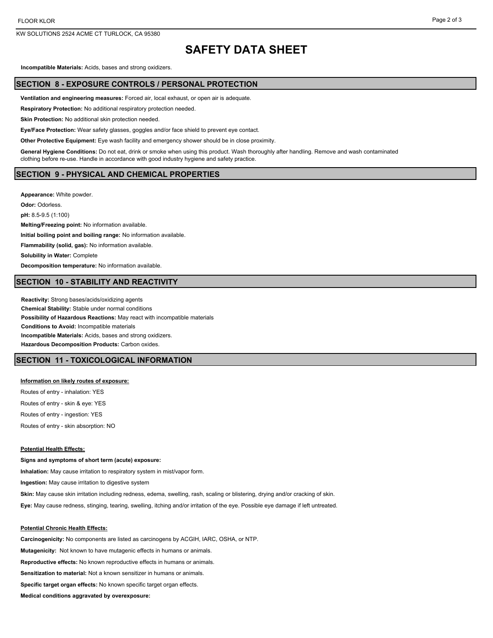KW SOLUTIONS 2524 ACME CT TURLOCK, CA 95380

#### Page 2 of 3

## **SAFETY DATA SHEET**

**Incompatible Materials:** Acids, bases and strong oxidizers.

## **SECTION 8 - EXPOSURE CONTROLS / PERSONAL PROTECTION**

**Ventilation and engineering measures:** Forced air, local exhaust, or open air is adequate.

**Respiratory Protection:** No additional respiratory protection needed.

**Skin Protection:** No additional skin protection needed.

**Eye/Face Protection:** Wear safety glasses, goggles and/or face shield to prevent eye contact.

**Other Protective Equipment:** Eye wash facility and emergency shower should be in close proximity.

**General Hygiene Conditions:** Do not eat, drink or smoke when using this product. Wash thoroughly after handling. Remove and wash contaminated clothing before re-use. Handle in accordance with good industry hygiene and safety practice.

#### **SECTION 9 - PHYSICAL AND CHEMICAL PROPERTIES**

**Appearance:** White powder. **Odor:** Odorless. **pH:** 8.5-9.5 (1:100) **Melting/Freezing point:** No information available. **Initial boiling point and boiling range:** No information available. **Flammability (solid, gas):** No information available. **Solubility in Water:** Complete **Decomposition temperature:** No information available.

## **SECTION 10 - STABILITY AND REACTIVITY**

**Reactivity:** Strong bases/acids/oxidizing agents **Chemical Stability:** Stable under normal conditions **Possibility of Hazardous Reactions:** May react with incompatible materials **Conditions to Avoid:** Incompatible materials **Incompatible Materials:** Acids, bases and strong oxidizers. **Hazardous Decomposition Products:** Carbon oxides.

#### **SECTION 11 - TOXICOLOGICAL INFORMATION**

#### **Information on likely routes of exposure:**

**Signs and symptoms of short term (acute) exposure:**

Routes of entry - inhalation: YES Routes of entry - skin & eye: YES Routes of entry - ingestion: YES Routes of entry - skin absorption: NO

#### **Potential Health Effects:**

**Inhalation:** May cause irritation to respiratory system in mist/vapor form. **Ingestion:** May cause irritation to digestive system **Skin:** May cause skin irritation including redness, edema, swelling, rash, scaling or blistering, drying and/or cracking of skin.

**Eye:** May cause redness, stinging, tearing, swelling, itching and/or irritation of the eye. Possible eye damage if left untreated.

#### **Potential Chronic Health Effects:**

**Carcinogenicity:** No components are listed as carcinogens by ACGIH, IARC, OSHA, or NTP. **Mutagenicity:** Not known to have mutagenic effects in humans or animals. **Reproductive effects:** No known reproductive effects in humans or animals. **Sensitization to material:** Not a known sensitizer in humans or animals. **Specific target organ effects:** No known specific target organ effects.

**Medical conditions aggravated by overexposure:**